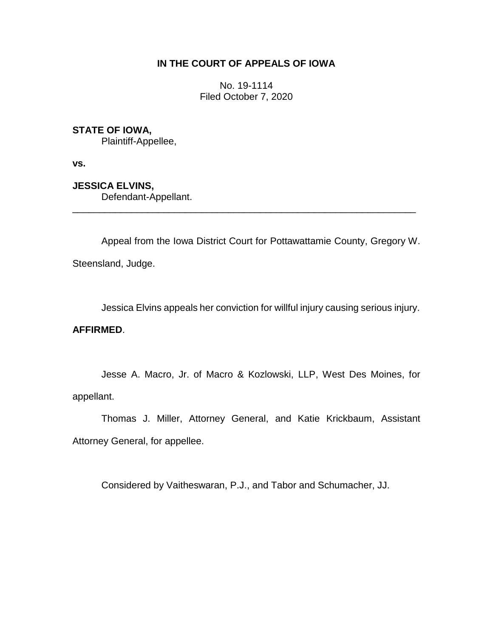# **IN THE COURT OF APPEALS OF IOWA**

No. 19-1114 Filed October 7, 2020

# **STATE OF IOWA,**

Plaintiff-Appellee,

**vs.**

**JESSICA ELVINS,**

Defendant-Appellant.

Appeal from the Iowa District Court for Pottawattamie County, Gregory W. Steensland, Judge.

\_\_\_\_\_\_\_\_\_\_\_\_\_\_\_\_\_\_\_\_\_\_\_\_\_\_\_\_\_\_\_\_\_\_\_\_\_\_\_\_\_\_\_\_\_\_\_\_\_\_\_\_\_\_\_\_\_\_\_\_\_\_\_\_

Jessica Elvins appeals her conviction for willful injury causing serious injury.

## **AFFIRMED**.

Jesse A. Macro, Jr. of Macro & Kozlowski, LLP, West Des Moines, for appellant.

Thomas J. Miller, Attorney General, and Katie Krickbaum, Assistant Attorney General, for appellee.

Considered by Vaitheswaran, P.J., and Tabor and Schumacher, JJ.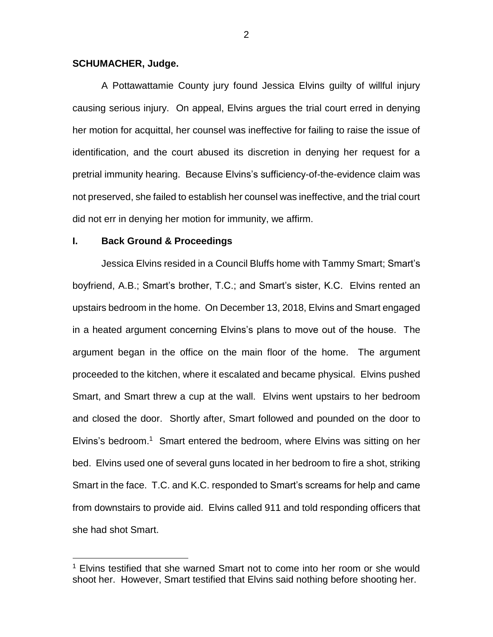### **SCHUMACHER, Judge.**

A Pottawattamie County jury found Jessica Elvins guilty of willful injury causing serious injury. On appeal, Elvins argues the trial court erred in denying her motion for acquittal, her counsel was ineffective for failing to raise the issue of identification, and the court abused its discretion in denying her request for a pretrial immunity hearing. Because Elvins's sufficiency-of-the-evidence claim was not preserved, she failed to establish her counsel was ineffective, and the trial court did not err in denying her motion for immunity, we affirm.

#### **I. Back Ground & Proceedings**

 $\overline{a}$ 

Jessica Elvins resided in a Council Bluffs home with Tammy Smart; Smart's boyfriend, A.B.; Smart's brother, T.C.; and Smart's sister, K.C. Elvins rented an upstairs bedroom in the home. On December 13, 2018, Elvins and Smart engaged in a heated argument concerning Elvins's plans to move out of the house. The argument began in the office on the main floor of the home. The argument proceeded to the kitchen, where it escalated and became physical. Elvins pushed Smart, and Smart threw a cup at the wall. Elvins went upstairs to her bedroom and closed the door. Shortly after, Smart followed and pounded on the door to Elvins's bedroom. <sup>1</sup> Smart entered the bedroom, where Elvins was sitting on her bed. Elvins used one of several guns located in her bedroom to fire a shot, striking Smart in the face. T.C. and K.C. responded to Smart's screams for help and came from downstairs to provide aid. Elvins called 911 and told responding officers that she had shot Smart.

 $1$  Elvins testified that she warned Smart not to come into her room or she would shoot her. However, Smart testified that Elvins said nothing before shooting her.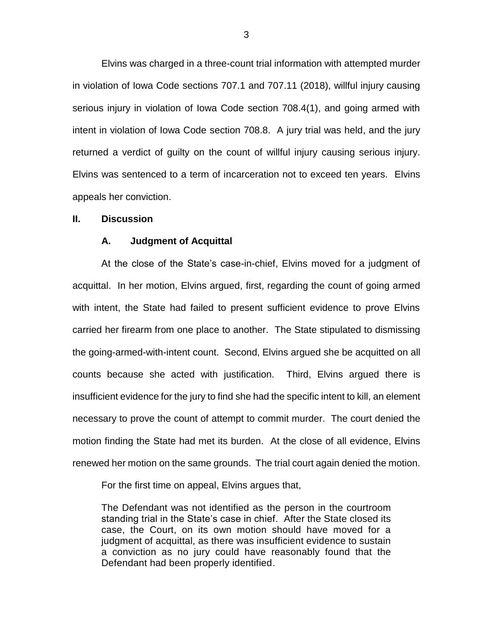Elvins was charged in a three-count trial information with attempted murder in violation of Iowa Code sections 707.1 and 707.11 (2018), willful injury causing serious injury in violation of Iowa Code section 708.4(1), and going armed with intent in violation of Iowa Code section 708.8. A jury trial was held, and the jury returned a verdict of guilty on the count of willful injury causing serious injury. Elvins was sentenced to a term of incarceration not to exceed ten years. Elvins appeals her conviction.

#### **II. Discussion**

#### **A. Judgment of Acquittal**

At the close of the State's case-in-chief, Elvins moved for a judgment of acquittal. In her motion, Elvins argued, first, regarding the count of going armed with intent, the State had failed to present sufficient evidence to prove Elvins carried her firearm from one place to another. The State stipulated to dismissing the going-armed-with-intent count. Second, Elvins argued she be acquitted on all counts because she acted with justification. Third, Elvins argued there is insufficient evidence for the jury to find she had the specific intent to kill, an element necessary to prove the count of attempt to commit murder. The court denied the motion finding the State had met its burden. At the close of all evidence, Elvins renewed her motion on the same grounds. The trial court again denied the motion.

For the first time on appeal, Elvins argues that,

The Defendant was not identified as the person in the courtroom standing trial in the State's case in chief. After the State closed its case, the Court, on its own motion should have moved for a judgment of acquittal, as there was insufficient evidence to sustain a conviction as no jury could have reasonably found that the Defendant had been properly identified.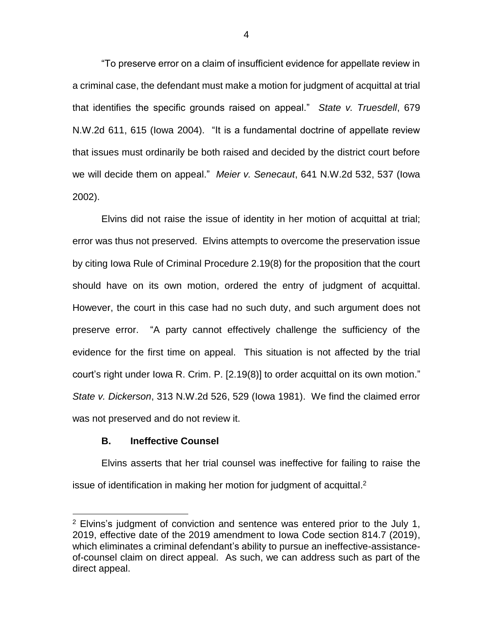"To preserve error on a claim of insufficient evidence for appellate review in a criminal case, the defendant must make a motion for judgment of acquittal at trial that identifies the specific grounds raised on appeal." *State v. Truesdell*, 679 N.W.2d 611, 615 (Iowa 2004). "It is a fundamental doctrine of appellate review that issues must ordinarily be both raised and decided by the district court before we will decide them on appeal." *Meier v. Senecaut*, 641 N.W.2d 532, 537 (Iowa 2002).

Elvins did not raise the issue of identity in her motion of acquittal at trial; error was thus not preserved. Elvins attempts to overcome the preservation issue by citing Iowa Rule of Criminal Procedure 2.19(8) for the proposition that the court should have on its own motion, ordered the entry of judgment of acquittal. However, the court in this case had no such duty, and such argument does not preserve error. "A party cannot effectively challenge the sufficiency of the evidence for the first time on appeal. This situation is not affected by the trial court's right under Iowa R. Crim. P. [2.19(8)] to order acquittal on its own motion." *State v. Dickerson*, 313 N.W.2d 526, 529 (Iowa 1981). We find the claimed error was not preserved and do not review it.

### **B. Ineffective Counsel**

 $\overline{a}$ 

Elvins asserts that her trial counsel was ineffective for failing to raise the issue of identification in making her motion for judgment of acquittal. 2

 $2$  Elvins's judgment of conviction and sentence was entered prior to the July 1, 2019, effective date of the 2019 amendment to Iowa Code section 814.7 (2019), which eliminates a criminal defendant's ability to pursue an ineffective-assistanceof-counsel claim on direct appeal. As such, we can address such as part of the direct appeal.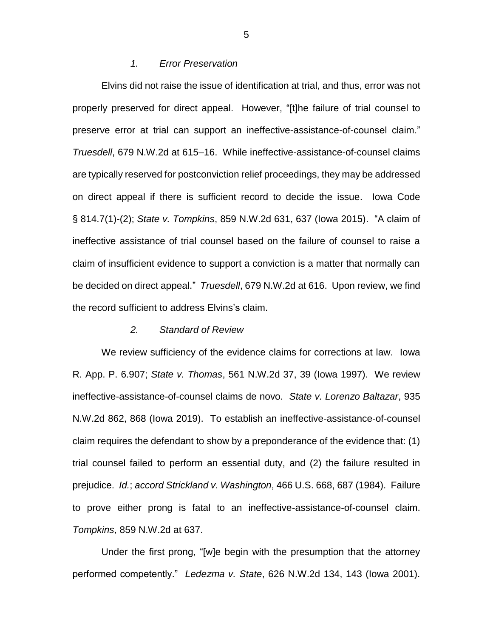## *1. Error Preservation*

Elvins did not raise the issue of identification at trial, and thus, error was not properly preserved for direct appeal. However, "[t]he failure of trial counsel to preserve error at trial can support an ineffective-assistance-of-counsel claim." *Truesdell*, 679 N.W.2d at 615–16. While ineffective-assistance-of-counsel claims are typically reserved for postconviction relief proceedings, they may be addressed on direct appeal if there is sufficient record to decide the issue. Iowa Code § 814.7(1)-(2); *State v. Tompkins*, 859 N.W.2d 631, 637 (Iowa 2015). "A claim of ineffective assistance of trial counsel based on the failure of counsel to raise a claim of insufficient evidence to support a conviction is a matter that normally can be decided on direct appeal." *Truesdell*, 679 N.W.2d at 616. Upon review, we find the record sufficient to address Elvins's claim.

#### *2. Standard of Review*

We review sufficiency of the evidence claims for corrections at law. Iowa R. App. P. 6.907; *State v. Thomas*, 561 N.W.2d 37, 39 (Iowa 1997). We review ineffective-assistance-of-counsel claims de novo. *State v. Lorenzo Baltazar*, 935 N.W.2d 862, 868 (Iowa 2019). To establish an ineffective-assistance-of-counsel claim requires the defendant to show by a preponderance of the evidence that: (1) trial counsel failed to perform an essential duty, and (2) the failure resulted in prejudice. *Id.*; *accord Strickland v. Washington*, 466 U.S. 668, 687 (1984). Failure to prove either prong is fatal to an ineffective-assistance-of-counsel claim. *Tompkins*, 859 N.W.2d at 637.

Under the first prong, "[w]e begin with the presumption that the attorney performed competently." *Ledezma v. State*, 626 N.W.2d 134, 143 (Iowa 2001).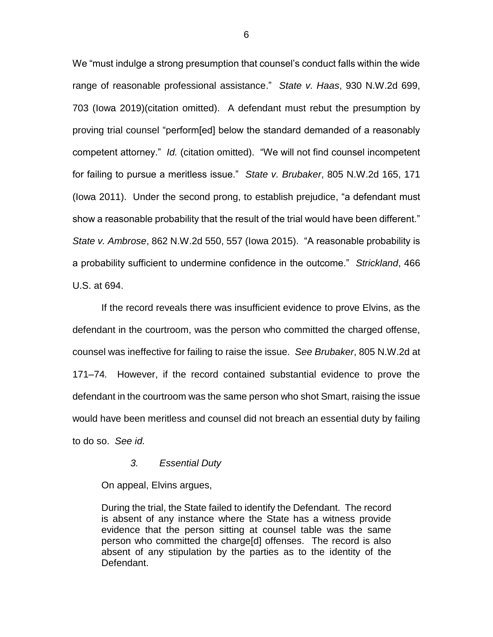We "must indulge a strong presumption that counsel's conduct falls within the wide range of reasonable professional assistance." *State v. Haas*, 930 N.W.2d 699, 703 (Iowa 2019)(citation omitted). A defendant must rebut the presumption by proving trial counsel "perform[ed] below the standard demanded of a reasonably competent attorney." *Id.* (citation omitted). "We will not find counsel incompetent for failing to pursue a meritless issue." *State v. Brubaker*, 805 N.W.2d 165, 171 (Iowa 2011). Under the second prong, to establish prejudice, "a defendant must show a reasonable probability that the result of the trial would have been different." *State v. Ambrose*, 862 N.W.2d 550, 557 (Iowa 2015). "A reasonable probability is a probability sufficient to undermine confidence in the outcome." *Strickland*, 466 U.S. at 694.

If the record reveals there was insufficient evidence to prove Elvins, as the defendant in the courtroom, was the person who committed the charged offense, counsel was ineffective for failing to raise the issue. *See Brubaker*, 805 N.W.2d at 171–74*.* However, if the record contained substantial evidence to prove the defendant in the courtroom was the same person who shot Smart, raising the issue would have been meritless and counsel did not breach an essential duty by failing to do so. *See id.*

### *3. Essential Duty*

On appeal, Elvins argues,

During the trial, the State failed to identify the Defendant. The record is absent of any instance where the State has a witness provide evidence that the person sitting at counsel table was the same person who committed the charge[d] offenses. The record is also absent of any stipulation by the parties as to the identity of the Defendant.

6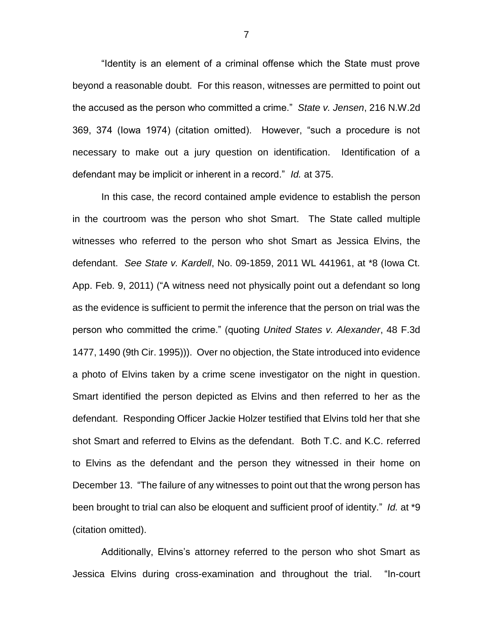"Identity is an element of a criminal offense which the State must prove beyond a reasonable doubt. For this reason, witnesses are permitted to point out the accused as the person who committed a crime." *State v. Jensen*, 216 N.W.2d 369, 374 (Iowa 1974) (citation omitted). However, "such a procedure is not necessary to make out a jury question on identification. Identification of a defendant may be implicit or inherent in a record." *Id.* at 375.

In this case, the record contained ample evidence to establish the person in the courtroom was the person who shot Smart. The State called multiple witnesses who referred to the person who shot Smart as Jessica Elvins, the defendant. *See State v. Kardell*, No. 09-1859, 2011 WL 441961, at \*8 (Iowa Ct. App. Feb. 9, 2011) ("A witness need not physically point out a defendant so long as the evidence is sufficient to permit the inference that the person on trial was the person who committed the crime." (quoting *United States v. Alexander*, 48 F.3d 1477, 1490 (9th Cir. 1995))). Over no objection, the State introduced into evidence a photo of Elvins taken by a crime scene investigator on the night in question. Smart identified the person depicted as Elvins and then referred to her as the defendant. Responding Officer Jackie Holzer testified that Elvins told her that she shot Smart and referred to Elvins as the defendant. Both T.C. and K.C. referred to Elvins as the defendant and the person they witnessed in their home on December 13. "The failure of any witnesses to point out that the wrong person has been brought to trial can also be eloquent and sufficient proof of identity." *Id.* at \*9 (citation omitted).

Additionally, Elvins's attorney referred to the person who shot Smart as Jessica Elvins during cross-examination and throughout the trial. "In-court

7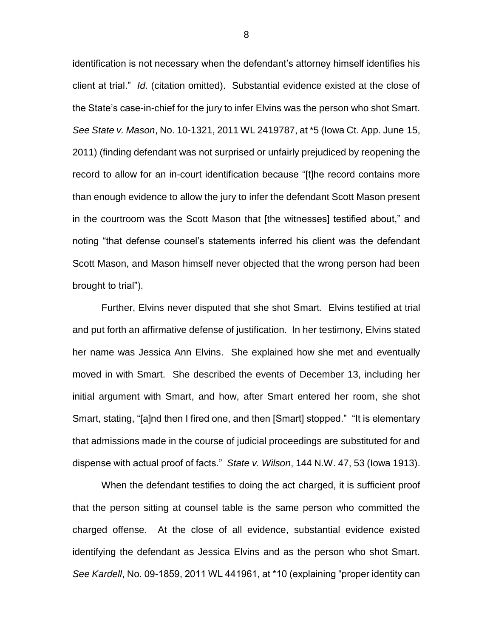identification is not necessary when the defendant's attorney himself identifies his client at trial." *Id.* (citation omitted). Substantial evidence existed at the close of the State's case-in-chief for the jury to infer Elvins was the person who shot Smart. *See State v. Mason*, No. 10-1321, 2011 WL 2419787, at \*5 (Iowa Ct. App. June 15, 2011) (finding defendant was not surprised or unfairly prejudiced by reopening the record to allow for an in-court identification because "[t]he record contains more than enough evidence to allow the jury to infer the defendant Scott Mason present in the courtroom was the Scott Mason that [the witnesses] testified about," and noting "that defense counsel's statements inferred his client was the defendant Scott Mason, and Mason himself never objected that the wrong person had been brought to trial").

Further, Elvins never disputed that she shot Smart. Elvins testified at trial and put forth an affirmative defense of justification. In her testimony, Elvins stated her name was Jessica Ann Elvins. She explained how she met and eventually moved in with Smart. She described the events of December 13, including her initial argument with Smart, and how, after Smart entered her room, she shot Smart, stating, "[a]nd then I fired one, and then [Smart] stopped." "It is elementary that admissions made in the course of judicial proceedings are substituted for and dispense with actual proof of facts." *State v. Wilson*, 144 N.W. 47, 53 (Iowa 1913).

When the defendant testifies to doing the act charged, it is sufficient proof that the person sitting at counsel table is the same person who committed the charged offense. At the close of all evidence, substantial evidence existed identifying the defendant as Jessica Elvins and as the person who shot Smart. *See Kardell*, No. 09-1859, 2011 WL 441961, at \*10 (explaining "proper identity can

8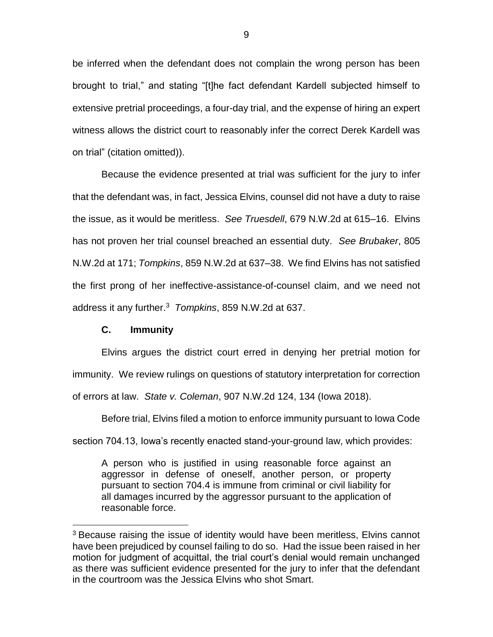be inferred when the defendant does not complain the wrong person has been brought to trial," and stating "[t]he fact defendant Kardell subjected himself to extensive pretrial proceedings, a four-day trial, and the expense of hiring an expert witness allows the district court to reasonably infer the correct Derek Kardell was on trial" (citation omitted)).

Because the evidence presented at trial was sufficient for the jury to infer that the defendant was, in fact, Jessica Elvins, counsel did not have a duty to raise the issue, as it would be meritless. *See Truesdell*, 679 N.W.2d at 615–16. Elvins has not proven her trial counsel breached an essential duty. *See Brubaker*, 805 N.W.2d at 171; *Tompkins*, 859 N.W.2d at 637–38. We find Elvins has not satisfied the first prong of her ineffective-assistance-of-counsel claim, and we need not address it any further.<sup>3</sup> *Tompkins*, 859 N.W.2d at 637.

### **C. Immunity**

 $\overline{a}$ 

Elvins argues the district court erred in denying her pretrial motion for immunity. We review rulings on questions of statutory interpretation for correction of errors at law. *State v. Coleman*, 907 N.W.2d 124, 134 (Iowa 2018).

Before trial, Elvins filed a motion to enforce immunity pursuant to Iowa Code section 704.13, Iowa's recently enacted stand-your-ground law, which provides:

A person who is justified in using reasonable force against an aggressor in defense of oneself, another person, or property pursuant to section 704.4 is immune from criminal or civil liability for all damages incurred by the aggressor pursuant to the application of reasonable force.

<sup>&</sup>lt;sup>3</sup> Because raising the issue of identity would have been meritless, Elvins cannot have been prejudiced by counsel failing to do so. Had the issue been raised in her motion for judgment of acquittal, the trial court's denial would remain unchanged as there was sufficient evidence presented for the jury to infer that the defendant in the courtroom was the Jessica Elvins who shot Smart.